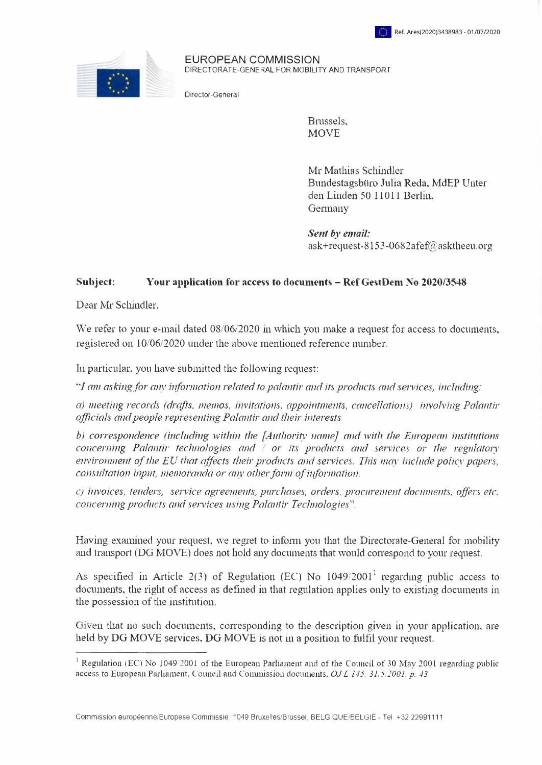

EUROPEAN COMMISSION DIRECTORATE-GENERAL FOR MOBILITY AND TRANSPORT

Director-General

Brussels, **MOVE** 

Mr Mathias Schindler Bundestagsbüro Julia Reda, MdEP Unter den Linden 50 11011 Berlin, Germany

*Sent by email:* ask[+request-8153-0682afef@asktheeu.org](mailto:xxxxxxxxxxxxxxxxxxxxx@xxxxxxxx.xxx)

## **Subject: Your application for access to documents - Ref GestDem No 2020/3548**

Dear Mr Schindler.

We refer to your e-mail dated 08/06/2020 in which you make a request for access to documents, registered on 10/06/2020 under the above mentioned reference number.

In particular, you have submitted the following request:

*I ctm askingfor any information related to palantir and its products and sennees, including:*

*a) meeting records (drafts, memos, imitations, appointments, cancellations) involving Palantir officials andpeople representing Palantir and their interests*

*b) correspondence, (including within the. [Authority name] and with the. European institutions concerning Palantir technologies and* / *or its products and services or the regulatoiy environment ofthe EU that affects their products and services. This may include poliev papers, consultation input, memoranda or any otherform ofinformation.*

*c) invoices, tenders, service agreements, purchases, orders, procurement documents, offers etc. concerning products and services using Palantir Technologies*".

Having examined your request, we regret to inform you that the Directorate-General for mobility and transport (DG MOVE) does not hold any documents that would correspond to your request.

As specified in Article 2(3) of Regulation (EC) No  $1049/2001<sup>1</sup>$  regarding public access to documents, the right of access as defined in that regulation applies only to existing documents in the possession of the institution.

Given that no such documents, corresponding to the description given in your application, are held by DG MOVE services, DG MOVE is not in a position to fulfil your request.

<sup>&</sup>lt;sup>1</sup> Regulation (EC) No 1049/2001 of the European Parliament and of the Council of 30 May 2001 regarding public access to European Parliament, Council and Commission documents. *OJL ¡45. 31.5.2001, p. 43*